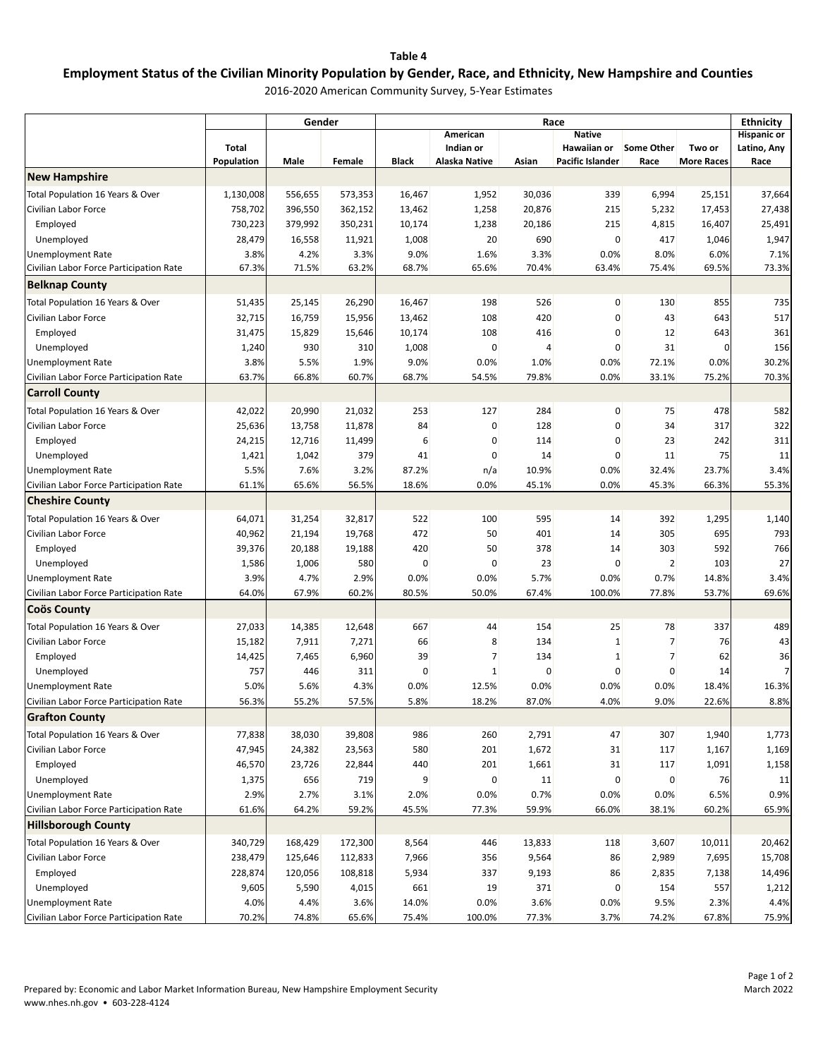## **Table 4**

## **Employment Status of the Civilian Minority Population by Gender, Race, and Ethnicity, New Hampshire and Counties**

2016‐2020 American Community Survey, 5‐Year Estimates

|                                         |                    | Gender             |                    | Race           |               |                 |                         |                   |                   |                                        |
|-----------------------------------------|--------------------|--------------------|--------------------|----------------|---------------|-----------------|-------------------------|-------------------|-------------------|----------------------------------------|
|                                         |                    |                    |                    |                | American      | <b>Native</b>   |                         |                   |                   | <b>Ethnicity</b><br><b>Hispanic or</b> |
|                                         | Total              |                    |                    |                | Indian or     |                 | Hawaiian or             | <b>Some Other</b> | Two or            | Latino, Any                            |
|                                         | Population         | Male               | Female             | <b>Black</b>   | Alaska Native | Asian           | <b>Pacific Islander</b> | Race              | <b>More Races</b> | Race                                   |
| <b>New Hampshire</b>                    |                    |                    |                    |                |               |                 |                         |                   |                   |                                        |
| Total Population 16 Years & Over        | 1,130,008          | 556,655            | 573,353            | 16,467         | 1,952         | 30,036          | 339                     | 6,994             | 25,151            | 37,664                                 |
| Civilian Labor Force                    | 758,702            | 396,550            | 362,152            | 13,462         | 1,258         | 20,876          | 215                     | 5,232             | 17,453            | 27,438                                 |
| Employed                                | 730,223            | 379,992            | 350,231            | 10,174         | 1,238         | 20,186          | 215                     | 4,815             | 16,407            | 25,491                                 |
| Unemployed                              | 28,479             | 16,558             | 11,921             | 1,008          | 20            | 690             | 0                       | 417               | 1,046             | 1,947                                  |
| Unemployment Rate                       | 3.8%               | 4.2%               | 3.3%               | 9.0%           | 1.6%          | 3.3%            | 0.0%                    | 8.0%              | 6.0%              | 7.1%                                   |
| Civilian Labor Force Participation Rate | 67.3%              | 71.5%              | 63.2%              | 68.7%          | 65.6%         | 70.4%           | 63.4%                   | 75.4%             | 69.5%             | 73.3%                                  |
| <b>Belknap County</b>                   |                    |                    |                    |                |               |                 |                         |                   |                   |                                        |
| Total Population 16 Years & Over        | 51,435             | 25,145             | 26,290             | 16,467         | 198           | 526             | 0                       | 130               | 855               | 735                                    |
| Civilian Labor Force                    | 32,715             | 16,759             | 15,956             | 13,462         | 108           | 420             | 0                       | 43                | 643               | 517                                    |
| Employed                                | 31,475             | 15,829             | 15,646             | 10,174         | 108           | 416             | 0                       | 12                | 643               | 361                                    |
| Unemployed                              | 1,240              | 930                | 310                | 1,008          | 0             | 4               | 0                       | 31                | 0                 | 156                                    |
| Unemployment Rate                       | 3.8%               | 5.5%               | 1.9%               | 9.0%           | 0.0%          | 1.0%            | 0.0%                    | 72.1%             | 0.0%              | 30.2%                                  |
| Civilian Labor Force Participation Rate | 63.7%              | 66.8%              | 60.7%              | 68.7%          | 54.5%         | 79.8%           | 0.0%                    | 33.1%             | 75.2%             | 70.3%                                  |
| <b>Carroll County</b>                   |                    |                    |                    |                |               |                 |                         |                   |                   |                                        |
| Total Population 16 Years & Over        | 42,022             | 20,990             | 21,032             | 253            | 127           | 284             | 0                       | 75                | 478               | 582                                    |
| Civilian Labor Force                    | 25,636             | 13,758             | 11,878             | 84             | 0             | 128             | 0                       | 34                | 317               | 322                                    |
| Employed                                | 24,215             | 12,716             | 11,499             | 6              | 0             | 114             | 0                       | 23                | 242               | 311                                    |
| Unemployed                              | 1,421              | 1,042              | 379                | 41             | 0             | 14              | 0                       | 11                | 75                | 11                                     |
| Unemployment Rate                       | 5.5%               | 7.6%               | 3.2%               | 87.2%          | n/a           | 10.9%           | 0.0%                    | 32.4%             | 23.7%             | 3.4%                                   |
| Civilian Labor Force Participation Rate | 61.1%              | 65.6%              | 56.5%              | 18.6%          | 0.0%          | 45.1%           | 0.0%                    | 45.3%             | 66.3%             | 55.3%                                  |
| <b>Cheshire County</b>                  |                    |                    |                    |                |               |                 |                         |                   |                   |                                        |
| Total Population 16 Years & Over        | 64,071             | 31,254             | 32,817             | 522            | 100           | 595             | 14                      | 392               | 1,295             | 1,140                                  |
| Civilian Labor Force                    | 40,962             | 21,194             | 19,768             | 472            | 50            | 401             | 14                      | 305               | 695               | 793                                    |
| Employed                                | 39,376             | 20,188             | 19,188             | 420            | 50            | 378             | 14                      | 303               | 592               | 766                                    |
| Unemployed                              | 1,586              | 1,006              | 580                | 0              | 0             | 23              | 0                       | $\overline{2}$    | 103               | 27                                     |
| Unemployment Rate                       | 3.9%               | 4.7%               | 2.9%               | 0.0%           | 0.0%          | 5.7%            | 0.0%                    | 0.7%              | 14.8%             | 3.4%                                   |
| Civilian Labor Force Participation Rate | 64.0%              | 67.9%              | 60.2%              | 80.5%          | 50.0%         | 67.4%           | 100.0%                  | 77.8%             | 53.7%             | 69.6%                                  |
| Coos County                             |                    |                    |                    |                |               |                 |                         |                   |                   |                                        |
| Total Population 16 Years & Over        | 27,033             | 14,385             | 12,648             | 667            | 44            | 154             | 25                      | 78                | 337               | 489                                    |
| Civilian Labor Force                    | 15,182             | 7,911              | 7,271              | 66             | 8             | 134             | 1                       | 7                 | 76                | 43                                     |
| Employed                                | 14,425             | 7,465              | 6,960              | 39             | 7             | 134             | 1                       | 7                 | 62                | 36                                     |
| Unemployed                              | 757                | 446                | 311                | 0              | 1             | 0               | 0                       | 0                 | 14                | $\overline{7}$                         |
| Unemployment Rate                       | 5.0%               | 5.6%               | 4.3%               | 0.0%           | 12.5%         | 0.0%            | 0.0%                    | 0.0%              | 18.4%             | 16.3%                                  |
| Civilian Labor Force Participation Rate | 56.3%              | 55.2%              | 57.5%              | 5.8%           | 18.2%         | 87.0%           | 4.0%                    | 9.0%              | 22.6%             | 8.8%                                   |
| <b>Grafton County</b>                   |                    |                    |                    |                |               |                 |                         |                   |                   |                                        |
| Total Population 16 Years & Over        |                    |                    | 39,808             | 986            | 260           | 2,791           | 47                      | 307               |                   | 1,773                                  |
| Civilian Labor Force                    | 77,838<br>47,945   | 38,030<br>24,382   | 23,563             | 580            | 201           | 1,672           | 31                      | 117               | 1,940<br>1,167    | 1,169                                  |
| Employed                                | 46,570             | 23,726             | 22,844             | 440            | 201           | 1,661           | 31                      | 117               | 1,091             | 1,158                                  |
| Unemployed                              | 1,375              | 656                | 719                | 9              | $\pmb{0}$     | 11              | 0                       | 0                 | 76                | 11                                     |
| <b>Unemployment Rate</b>                | 2.9%               | 2.7%               | 3.1%               | 2.0%           | 0.0%          | 0.7%            | 0.0%                    | 0.0%              | 6.5%              | 0.9%                                   |
| Civilian Labor Force Participation Rate | 61.6%              | 64.2%              | 59.2%              | 45.5%          | 77.3%         | 59.9%           | 66.0%                   | 38.1%             | 60.2%             | 65.9%                                  |
| <b>Hillsborough County</b>              |                    |                    |                    |                |               |                 |                         |                   |                   |                                        |
| Total Population 16 Years & Over        |                    |                    |                    |                | 446           |                 |                         |                   |                   |                                        |
| Civilian Labor Force                    | 340,729<br>238,479 | 168,429<br>125,646 | 172,300<br>112,833 | 8,564<br>7,966 | 356           | 13,833<br>9,564 | 118<br>86               | 3,607<br>2,989    | 10,011<br>7,695   | 20,462<br>15,708                       |
| Employed                                | 228,874            | 120,056            | 108,818            | 5,934          | 337           | 9,193           | 86                      | 2,835             | 7,138             | 14,496                                 |
| Unemployed                              | 9,605              | 5,590              | 4,015              | 661            | 19            | 371             | 0                       | 154               | 557               | 1,212                                  |
| <b>Unemployment Rate</b>                | 4.0%               | 4.4%               | 3.6%               | 14.0%          | 0.0%          | 3.6%            | 0.0%                    | 9.5%              | 2.3%              | 4.4%                                   |
| Civilian Labor Force Participation Rate | 70.2%              | 74.8%              | 65.6%              | 75.4%          | 100.0%        | 77.3%           | 3.7%                    | 74.2%             | 67.8%             | 75.9%                                  |
|                                         |                    |                    |                    |                |               |                 |                         |                   |                   |                                        |